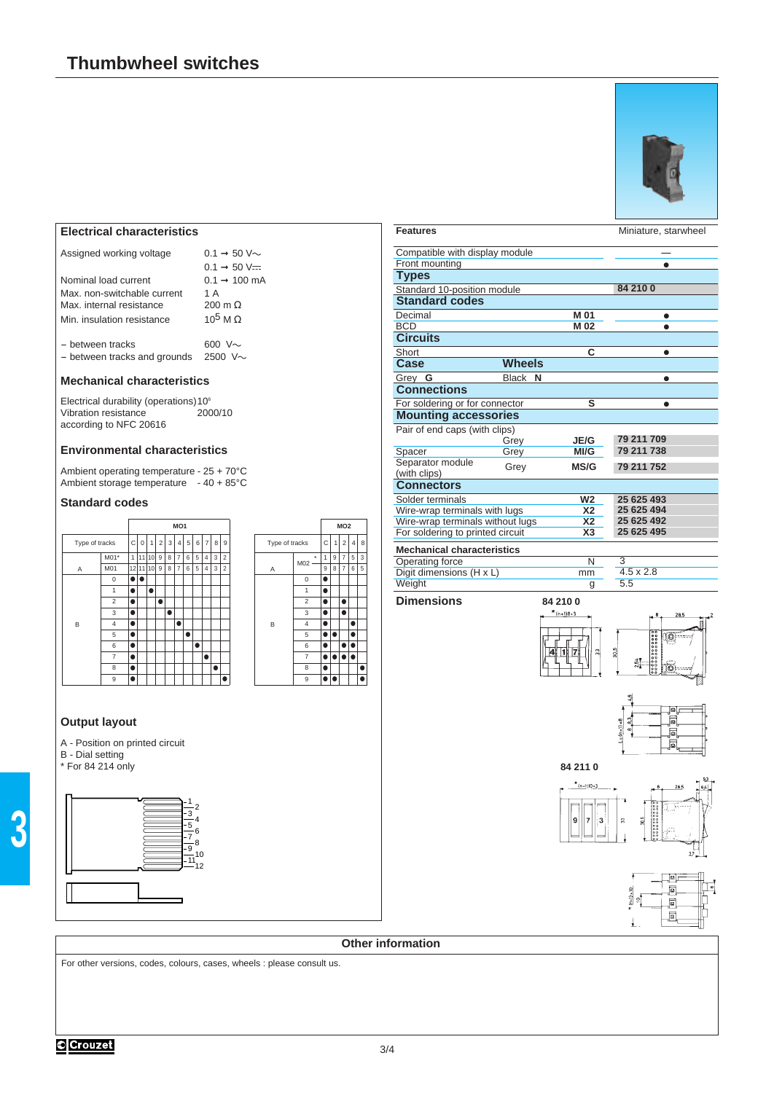

# **Electrical characteristics**

| Assigned working voltage |  |
|--------------------------|--|
|                          |  |

|                              | $0.1 \rightarrow 50 \text{ V}$ = |
|------------------------------|----------------------------------|
| Nominal load current         | $0.1 \rightarrow 100$ mA         |
| Max, non-switchable current  | 1 A                              |
| Max. internal resistance     | $200 \text{ m } \Omega$          |
| Min. insulation resistance   | $10^5$ M $\Omega$                |
| - between tracks             | 600 V $\sim$                     |
| - between tracks and grounds | 2500 $V \sim$                    |

 $0.1 \rightarrow 50$  V $\sim$ 

#### **Mechanical characteristics**

Electrical durability (operations) 10<sup>6</sup><br>Vibration resistance 2000/10 Vibration resistance according to NFC 20616

### **Environmental characteristics**

Ambient operating temperature - 25 + 70°C Ambient storage temperature - 40 + 85°C

## **Standard codes**



### **Output layout**

A - Position on printed circuit B - Dial setting \* For 84 214 only







For other versions, codes, colours, cases, wheels : please consult us.